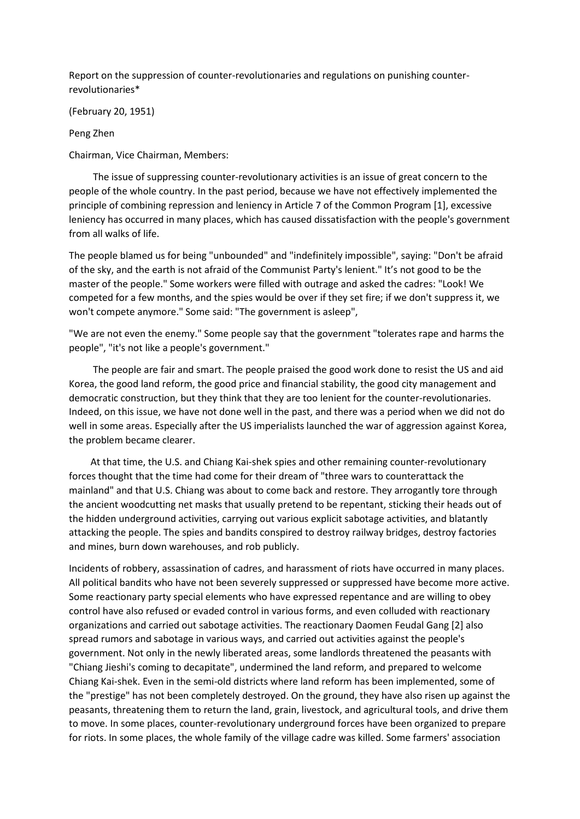Report on the suppression of counter-revolutionaries and regulations on punishing counterrevolutionaries\*

(February 20, 1951)

Peng Zhen

Chairman, Vice Chairman, Members:

 The issue of suppressing counter-revolutionary activities is an issue of great concern to the people of the whole country. In the past period, because we have not effectively implemented the principle of combining repression and leniency in Article 7 of the Common Program [1], excessive leniency has occurred in many places, which has caused dissatisfaction with the people's government from all walks of life.

The people blamed us for being "unbounded" and "indefinitely impossible", saying: "Don't be afraid of the sky, and the earth is not afraid of the Communist Party's lenient." It's not good to be the master of the people." Some workers were filled with outrage and asked the cadres: "Look! We competed for a few months, and the spies would be over if they set fire; if we don't suppress it, we won't compete anymore." Some said: "The government is asleep",

"We are not even the enemy." Some people say that the government "tolerates rape and harms the people", "it's not like a people's government."

 The people are fair and smart. The people praised the good work done to resist the US and aid Korea, the good land reform, the good price and financial stability, the good city management and democratic construction, but they think that they are too lenient for the counter-revolutionaries. Indeed, on this issue, we have not done well in the past, and there was a period when we did not do well in some areas. Especially after the US imperialists launched the war of aggression against Korea, the problem became clearer.

 At that time, the U.S. and Chiang Kai-shek spies and other remaining counter-revolutionary forces thought that the time had come for their dream of "three wars to counterattack the mainland" and that U.S. Chiang was about to come back and restore. They arrogantly tore through the ancient woodcutting net masks that usually pretend to be repentant, sticking their heads out of the hidden underground activities, carrying out various explicit sabotage activities, and blatantly attacking the people. The spies and bandits conspired to destroy railway bridges, destroy factories and mines, burn down warehouses, and rob publicly.

Incidents of robbery, assassination of cadres, and harassment of riots have occurred in many places. All political bandits who have not been severely suppressed or suppressed have become more active. Some reactionary party special elements who have expressed repentance and are willing to obey control have also refused or evaded control in various forms, and even colluded with reactionary organizations and carried out sabotage activities. The reactionary Daomen Feudal Gang [2] also spread rumors and sabotage in various ways, and carried out activities against the people's government. Not only in the newly liberated areas, some landlords threatened the peasants with "Chiang Jieshi's coming to decapitate", undermined the land reform, and prepared to welcome Chiang Kai-shek. Even in the semi-old districts where land reform has been implemented, some of the "prestige" has not been completely destroyed. On the ground, they have also risen up against the peasants, threatening them to return the land, grain, livestock, and agricultural tools, and drive them to move. In some places, counter-revolutionary underground forces have been organized to prepare for riots. In some places, the whole family of the village cadre was killed. Some farmers' association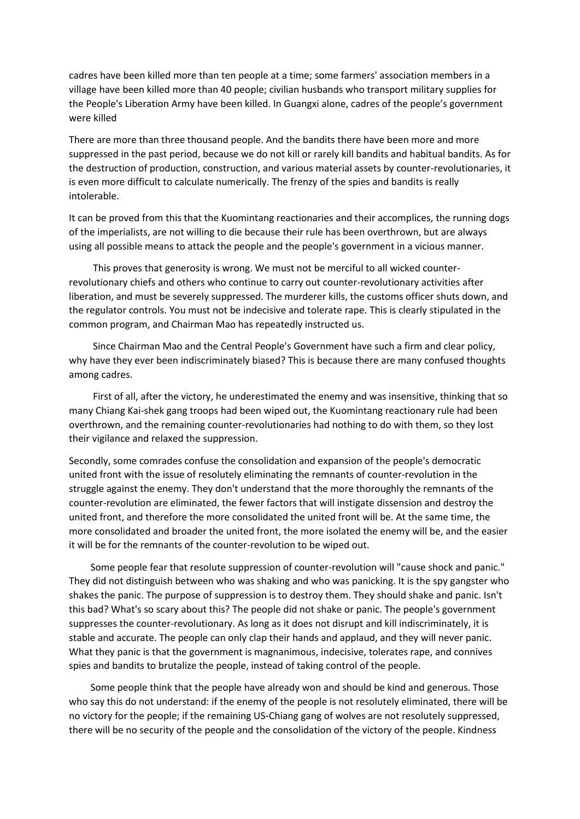cadres have been killed more than ten people at a time; some farmers' association members in a village have been killed more than 40 people; civilian husbands who transport military supplies for the People's Liberation Army have been killed. In Guangxi alone, cadres of the people's government were killed

There are more than three thousand people. And the bandits there have been more and more suppressed in the past period, because we do not kill or rarely kill bandits and habitual bandits. As for the destruction of production, construction, and various material assets by counter-revolutionaries, it is even more difficult to calculate numerically. The frenzy of the spies and bandits is really intolerable.

It can be proved from this that the Kuomintang reactionaries and their accomplices, the running dogs of the imperialists, are not willing to die because their rule has been overthrown, but are always using all possible means to attack the people and the people's government in a vicious manner.

 This proves that generosity is wrong. We must not be merciful to all wicked counterrevolutionary chiefs and others who continue to carry out counter-revolutionary activities after liberation, and must be severely suppressed. The murderer kills, the customs officer shuts down, and the regulator controls. You must not be indecisive and tolerate rape. This is clearly stipulated in the common program, and Chairman Mao has repeatedly instructed us.

 Since Chairman Mao and the Central People's Government have such a firm and clear policy, why have they ever been indiscriminately biased? This is because there are many confused thoughts among cadres.

 First of all, after the victory, he underestimated the enemy and was insensitive, thinking that so many Chiang Kai-shek gang troops had been wiped out, the Kuomintang reactionary rule had been overthrown, and the remaining counter-revolutionaries had nothing to do with them, so they lost their vigilance and relaxed the suppression.

Secondly, some comrades confuse the consolidation and expansion of the people's democratic united front with the issue of resolutely eliminating the remnants of counter-revolution in the struggle against the enemy. They don't understand that the more thoroughly the remnants of the counter-revolution are eliminated, the fewer factors that will instigate dissension and destroy the united front, and therefore the more consolidated the united front will be. At the same time, the more consolidated and broader the united front, the more isolated the enemy will be, and the easier it will be for the remnants of the counter-revolution to be wiped out.

 Some people fear that resolute suppression of counter-revolution will "cause shock and panic." They did not distinguish between who was shaking and who was panicking. It is the spy gangster who shakes the panic. The purpose of suppression is to destroy them. They should shake and panic. Isn't this bad? What's so scary about this? The people did not shake or panic. The people's government suppresses the counter-revolutionary. As long as it does not disrupt and kill indiscriminately, it is stable and accurate. The people can only clap their hands and applaud, and they will never panic. What they panic is that the government is magnanimous, indecisive, tolerates rape, and connives spies and bandits to brutalize the people, instead of taking control of the people.

 Some people think that the people have already won and should be kind and generous. Those who say this do not understand: if the enemy of the people is not resolutely eliminated, there will be no victory for the people; if the remaining US-Chiang gang of wolves are not resolutely suppressed, there will be no security of the people and the consolidation of the victory of the people. Kindness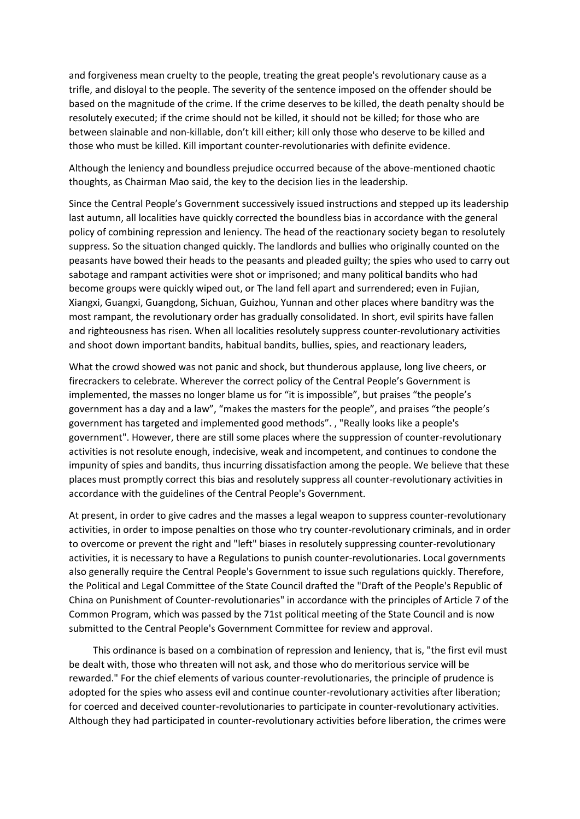and forgiveness mean cruelty to the people, treating the great people's revolutionary cause as a trifle, and disloyal to the people. The severity of the sentence imposed on the offender should be based on the magnitude of the crime. If the crime deserves to be killed, the death penalty should be resolutely executed; if the crime should not be killed, it should not be killed; for those who are between slainable and non-killable, don't kill either; kill only those who deserve to be killed and those who must be killed. Kill important counter-revolutionaries with definite evidence.

Although the leniency and boundless prejudice occurred because of the above-mentioned chaotic thoughts, as Chairman Mao said, the key to the decision lies in the leadership.

Since the Central People's Government successively issued instructions and stepped up its leadership last autumn, all localities have quickly corrected the boundless bias in accordance with the general policy of combining repression and leniency. The head of the reactionary society began to resolutely suppress. So the situation changed quickly. The landlords and bullies who originally counted on the peasants have bowed their heads to the peasants and pleaded guilty; the spies who used to carry out sabotage and rampant activities were shot or imprisoned; and many political bandits who had become groups were quickly wiped out, or The land fell apart and surrendered; even in Fujian, Xiangxi, Guangxi, Guangdong, Sichuan, Guizhou, Yunnan and other places where banditry was the most rampant, the revolutionary order has gradually consolidated. In short, evil spirits have fallen and righteousness has risen. When all localities resolutely suppress counter-revolutionary activities and shoot down important bandits, habitual bandits, bullies, spies, and reactionary leaders,

What the crowd showed was not panic and shock, but thunderous applause, long live cheers, or firecrackers to celebrate. Wherever the correct policy of the Central People's Government is implemented, the masses no longer blame us for "it is impossible", but praises "the people's government has a day and a law", "makes the masters for the people", and praises "the people's government has targeted and implemented good methods". , "Really looks like a people's government". However, there are still some places where the suppression of counter-revolutionary activities is not resolute enough, indecisive, weak and incompetent, and continues to condone the impunity of spies and bandits, thus incurring dissatisfaction among the people. We believe that these places must promptly correct this bias and resolutely suppress all counter-revolutionary activities in accordance with the guidelines of the Central People's Government.

At present, in order to give cadres and the masses a legal weapon to suppress counter-revolutionary activities, in order to impose penalties on those who try counter-revolutionary criminals, and in order to overcome or prevent the right and "left" biases in resolutely suppressing counter-revolutionary activities, it is necessary to have a Regulations to punish counter-revolutionaries. Local governments also generally require the Central People's Government to issue such regulations quickly. Therefore, the Political and Legal Committee of the State Council drafted the "Draft of the People's Republic of China on Punishment of Counter-revolutionaries" in accordance with the principles of Article 7 of the Common Program, which was passed by the 71st political meeting of the State Council and is now submitted to the Central People's Government Committee for review and approval.

 This ordinance is based on a combination of repression and leniency, that is, "the first evil must be dealt with, those who threaten will not ask, and those who do meritorious service will be rewarded." For the chief elements of various counter-revolutionaries, the principle of prudence is adopted for the spies who assess evil and continue counter-revolutionary activities after liberation; for coerced and deceived counter-revolutionaries to participate in counter-revolutionary activities. Although they had participated in counter-revolutionary activities before liberation, the crimes were